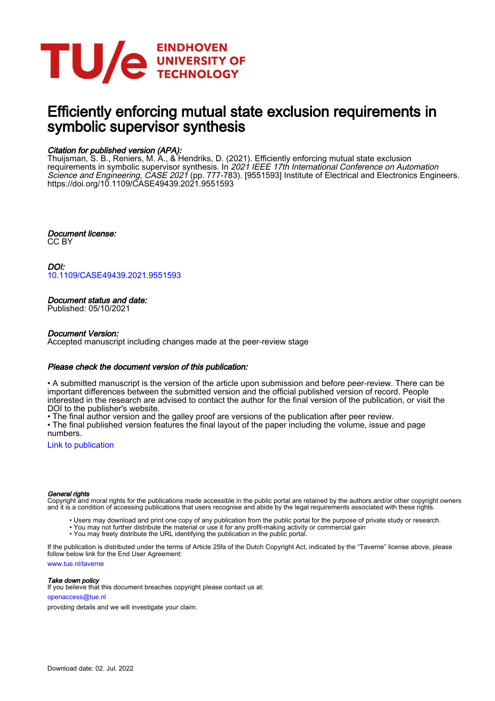

# Efficiently enforcing mutual state exclusion requirements in symbolic supervisor synthesis

# Citation for published version (APA):

Thuijsman, S. B., Reniers, M. A., & Hendriks, D. (2021). Efficiently enforcing mutual state exclusion requirements in symbolic supervisor synthesis. In *2021 IEEE 17th International Conference on Automation* Science and Engineering, CASE 2021 (pp. 777-783). [9551593] Institute of Electrical and Electronics Engineers. <https://doi.org/10.1109/CASE49439.2021.9551593>

Document license: CC BY

DOI: [10.1109/CASE49439.2021.9551593](https://doi.org/10.1109/CASE49439.2021.9551593)

## Document status and date:

Published: 05/10/2021

### Document Version:

Accepted manuscript including changes made at the peer-review stage

### Please check the document version of this publication:

• A submitted manuscript is the version of the article upon submission and before peer-review. There can be important differences between the submitted version and the official published version of record. People interested in the research are advised to contact the author for the final version of the publication, or visit the DOI to the publisher's website.

• The final author version and the galley proof are versions of the publication after peer review.

• The final published version features the final layout of the paper including the volume, issue and page numbers.

[Link to publication](https://research.tue.nl/en/publications/d0994b80-5a50-4f42-8218-b50d6ca8a29e)

#### General rights

Copyright and moral rights for the publications made accessible in the public portal are retained by the authors and/or other copyright owners and it is a condition of accessing publications that users recognise and abide by the legal requirements associated with these rights.

- Users may download and print one copy of any publication from the public portal for the purpose of private study or research.
- You may not further distribute the material or use it for any profit-making activity or commercial gain
- You may freely distribute the URL identifying the publication in the public portal.

If the publication is distributed under the terms of Article 25fa of the Dutch Copyright Act, indicated by the "Taverne" license above, please follow below link for the End User Agreement:

www.tue.nl/taverne

**Take down policy**<br>If you believe that this document breaches copyright please contact us at:

openaccess@tue.nl

providing details and we will investigate your claim.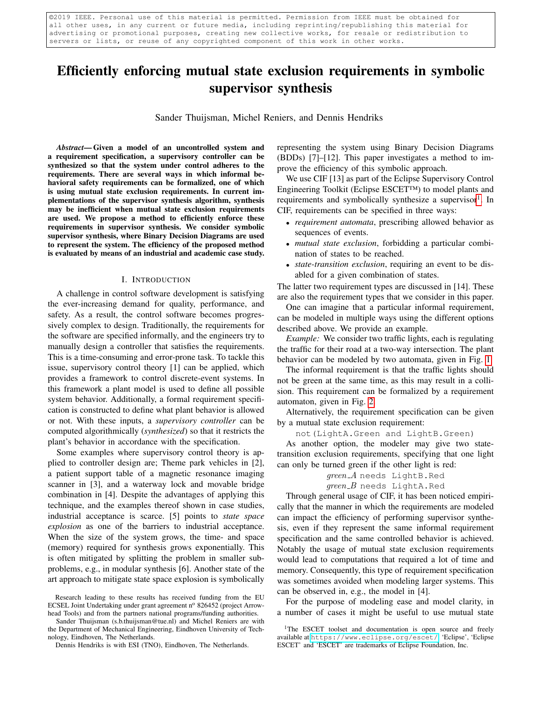©2019 IEEE. Personal use of this material is permitted. Permission from IEEE must be obtained for all other uses, in any current or future media, including reprinting/republishing this material for advertising or promotional purposes, creating new collective works, for resale or redistribution to servers or lists, or reuse of any copyrighted component of this work in other works.

# Efficiently enforcing mutual state exclusion requirements in symbolic supervisor synthesis

Sander Thuijsman, Michel Reniers, and Dennis Hendriks

*Abstract*— Given a model of an uncontrolled system and a requirement specification, a supervisory controller can be synthesized so that the system under control adheres to the requirements. There are several ways in which informal behavioral safety requirements can be formalized, one of which is using mutual state exclusion requirements. In current implementations of the supervisor synthesis algorithm, synthesis may be inefficient when mutual state exclusion requirements are used. We propose a method to efficiently enforce these requirements in supervisor synthesis. We consider symbolic supervisor synthesis, where Binary Decision Diagrams are used to represent the system. The efficiency of the proposed method is evaluated by means of an industrial and academic case study.

#### I. INTRODUCTION

<span id="page-1-1"></span>A challenge in control software development is satisfying the ever-increasing demand for quality, performance, and safety. As a result, the control software becomes progressively complex to design. Traditionally, the requirements for the software are specified informally, and the engineers try to manually design a controller that satisfies the requirements. This is a time-consuming and error-prone task. To tackle this issue, supervisory control theory [1] can be applied, which provides a framework to control discrete-event systems. In this framework a plant model is used to define all possible system behavior. Additionally, a formal requirement specification is constructed to define what plant behavior is allowed or not. With these inputs, a *supervisory controller* can be computed algorithmically (*synthesized*) so that it restricts the plant's behavior in accordance with the specification.

Some examples where supervisory control theory is applied to controller design are; Theme park vehicles in [2], a patient support table of a magnetic resonance imaging scanner in [3], and a waterway lock and movable bridge combination in [4]. Despite the advantages of applying this technique, and the examples thereof shown in case studies, industrial acceptance is scarce. [5] points to *state space explosion* as one of the barriers to industrial acceptance. When the size of the system grows, the time- and space (memory) required for synthesis grows exponentially. This is often mitigated by splitting the problem in smaller subproblems, e.g., in modular synthesis [6]. Another state of the art approach to mitigate state space explosion is symbolically

Sander Thuijsman (s.b.thuijsman@tue.nl) and Michel Reniers are with the Department of Mechanical Engineering, Eindhoven University of Technology, Eindhoven, The Netherlands.

representing the system using Binary Decision Diagrams (BDDs) [7]–[12]. This paper investigates a method to improve the efficiency of this symbolic approach.

We use CIF [13] as part of the Eclipse Supervisory Control Engineering Toolkit (Eclipse ESCET™) to model plants and requirements and symbolically synthesize a supervisor<sup>[1](#page-1-0)</sup>. In CIF, requirements can be specified in three ways:

- *requirement automata*, prescribing allowed behavior as sequences of events.
- *mutual state exclusion*, forbidding a particular combination of states to be reached.
- *state-transition exclusion*, requiring an event to be disabled for a given combination of states.

The latter two requirement types are discussed in [14]. These are also the requirement types that we consider in this paper.

One can imagine that a particular informal requirement, can be modeled in multiple ways using the different options described above. We provide an example.

*Example:* We consider two traffic lights, each is regulating the traffic for their road at a two-way intersection. The plant behavior can be modeled by two automata, given in Fig. [1.](#page-2-0)

The informal requirement is that the traffic lights should not be green at the same time, as this may result in a collision. This requirement can be formalized by a requirement automaton, given in Fig. [2.](#page-2-1)

Alternatively, the requirement specification can be given by a mutual state exclusion requirement:

#### not(LightA.Green and LightB.Green)

As another option, the modeler may give two statetransition exclusion requirements, specifying that one light can only be turned green if the other light is red:

> green\_A needs LightB.Red  $green$ - $B$  needs LightA.Red

Through general usage of CIF, it has been noticed empirically that the manner in which the requirements are modeled can impact the efficiency of performing supervisor synthesis, even if they represent the same informal requirement specification and the same controlled behavior is achieved. Notably the usage of mutual state exclusion requirements would lead to computations that required a lot of time and memory. Consequently, this type of requirement specification was sometimes avoided when modeling larger systems. This can be observed in, e.g., the model in [4].

For the purpose of modeling ease and model clarity, in a number of cases it might be useful to use mutual state

Research leading to these results has received funding from the EU ECSEL Joint Undertaking under grant agreement nº 826452 (project Arrowhead Tools) and from the partners national programs/funding authorities.

Dennis Hendriks is with ESI (TNO), Eindhoven, The Netherlands.

<span id="page-1-0"></span><sup>&</sup>lt;sup>1</sup>The ESCET toolset and documentation is open source and freely available at <https://www.eclipse.org/escet/>. 'Eclipse', 'Eclipse ESCET' and 'ESCET' are trademarks of Eclipse Foundation, Inc.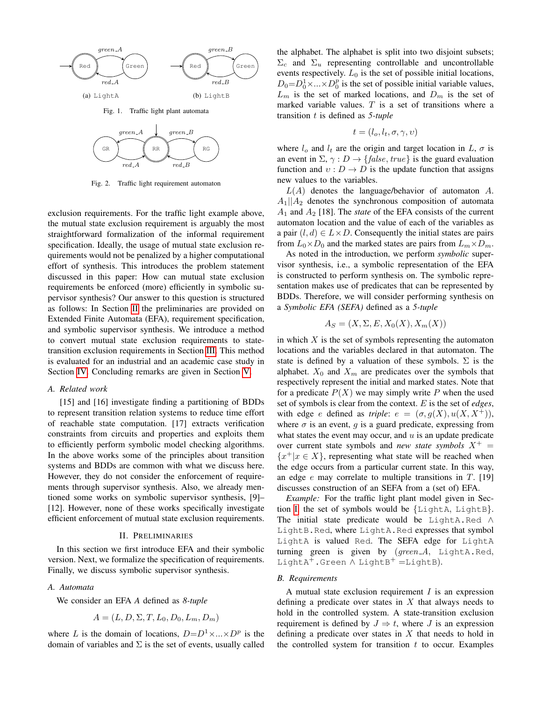

<span id="page-2-0"></span>Fig. 1. Traffic light plant automata



<span id="page-2-1"></span>Fig. 2. Traffic light requirement automaton

exclusion requirements. For the traffic light example above, the mutual state exclusion requirement is arguably the most straightforward formalization of the informal requirement specification. Ideally, the usage of mutual state exclusion requirements would not be penalized by a higher computational effort of synthesis. This introduces the problem statement discussed in this paper: How can mutual state exclusion requirements be enforced (more) efficiently in symbolic supervisor synthesis? Our answer to this question is structured as follows: In Section [II](#page-2-2) the preliminaries are provided on Extended Finite Automata (EFA), requirement specification, and symbolic supervisor synthesis. We introduce a method to convert mutual state exclusion requirements to statetransition exclusion requirements in Section [III.](#page-3-0) This method is evaluated for an industrial and an academic case study in Section [IV.](#page-4-0) Concluding remarks are given in Section [V.](#page-7-0)

#### *A. Related work*

[15] and [16] investigate finding a partitioning of BDDs to represent transition relation systems to reduce time effort of reachable state computation. [17] extracts verification constraints from circuits and properties and exploits them to efficiently perform symbolic model checking algorithms. In the above works some of the principles about transition systems and BDDs are common with what we discuss here. However, they do not consider the enforcement of requirements through supervisor synthesis. Also, we already mentioned some works on symbolic supervisor synthesis, [9]– [12]. However, none of these works specifically investigate efficient enforcement of mutual state exclusion requirements.

#### II. PRELIMINARIES

<span id="page-2-2"></span>In this section we first introduce EFA and their symbolic version. Next, we formalize the specification of requirements. Finally, we discuss symbolic supervisor synthesis.

#### *A. Automata*

We consider an EFA *A* defined as *8-tuple*

$$
A = (L, D, \Sigma, T, L_0, D_0, L_m, D_m)
$$

where L is the domain of locations,  $D = D^1 \times ... \times D^p$  is the domain of variables and  $\Sigma$  is the set of events, usually called the alphabet. The alphabet is split into two disjoint subsets;  $\Sigma_c$  and  $\Sigma_u$  representing controllable and uncontrollable events respectively.  $L_0$  is the set of possible initial locations,  $D_0 = D_0^1 \times ... \times D_0^p$  is the set of possible initial variable values,  $L_m$  is the set of marked locations, and  $D_m$  is the set of marked variable values.  $T$  is a set of transitions where a transition t is defined as *5-tuple*

$$
t=(l_o,l_t,\sigma,\gamma,\upsilon)
$$

where  $l_o$  and  $l_t$  are the origin and target location in  $L, \sigma$  is an event in  $\Sigma$ ,  $\gamma$  :  $D \rightarrow \{false, true\}$  is the guard evaluation function and  $v: D \to D$  is the update function that assigns new values to the variables.

 $L(A)$  denotes the language/behavior of automaton A.  $A_1||A_2$  denotes the synchronous composition of automata  $A_1$  and  $A_2$  [18]. The *state* of the EFA consists of the current automaton location and the value of each of the variables as a pair  $(l, d) \in L \times D$ . Consequently the initial states are pairs from  $L_0 \times D_0$  and the marked states are pairs from  $L_m \times D_m$ .

As noted in the introduction, we perform *symbolic* supervisor synthesis, i.e., a symbolic representation of the EFA is constructed to perform synthesis on. The symbolic representation makes use of predicates that can be represented by BDDs. Therefore, we will consider performing synthesis on a *Symbolic EFA (SEFA)* defined as a *5-tuple*

$$
A_S = (X, \Sigma, E, X_0(X), X_m(X))
$$

in which  $X$  is the set of symbols representing the automaton locations and the variables declared in that automaton. The state is defined by a valuation of these symbols.  $\Sigma$  is the alphabet.  $X_0$  and  $X_m$  are predicates over the symbols that respectively represent the initial and marked states. Note that for a predicate  $P(X)$  we may simply write P when the used set of symbols is clear from the context. E is the set of *edges*, with edge *e* defined as *triple*:  $e = (\sigma, g(X), u(X, X^+)),$ where  $\sigma$  is an event, q is a guard predicate, expressing from what states the event may occur, and  $u$  is an update predicate over current state symbols and *new state symbols*  $X^+$  =  ${x^+|x \in X}$ , representing what state will be reached when the edge occurs from a particular current state. In this way, an edge  $e$  may correlate to multiple transitions in  $T$ . [19] discusses construction of an SEFA from a (set of) EFA.

*Example:* For the traffic light plant model given in Sec-tion [I,](#page-1-1) the set of symbols would be  $\{LightA, LightB\}.$ The initial state predicate would be LightA.Red ∧ LightB.Red, where LightA.Red expresses that symbol LightA is valued Red. The SEFA edge for LightA turning green is given by  $(green_A, LightA, Red,$ LightA<sup>+</sup>.Green  $\wedge$  LightB<sup>+</sup> =LightB).

#### *B. Requirements*

A mutual state exclusion requirement  $I$  is an expression defining a predicate over states in  $X$  that always needs to hold in the controlled system. A state-transition exclusion requirement is defined by  $J \Rightarrow t$ , where J is an expression defining a predicate over states in  $X$  that needs to hold in the controlled system for transition  $t$  to occur. Examples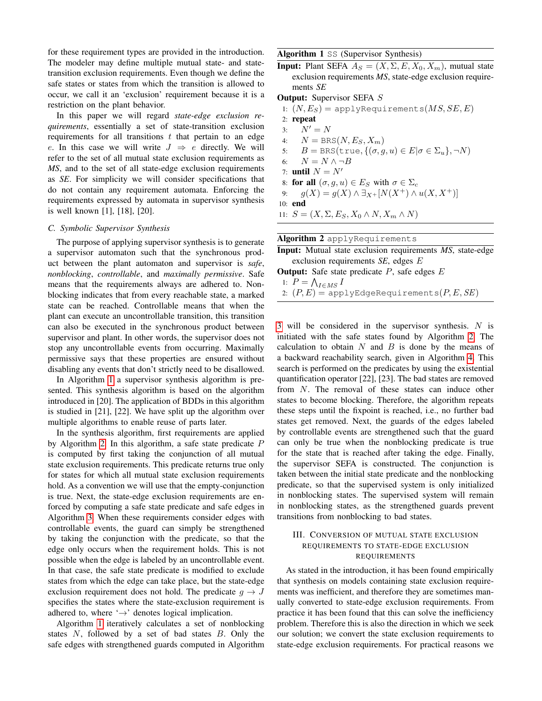for these requirement types are provided in the introduction. The modeler may define multiple mutual state- and statetransition exclusion requirements. Even though we define the safe states or states from which the transition is allowed to occur, we call it an 'exclusion' requirement because it is a restriction on the plant behavior.

In this paper we will regard *state-edge exclusion requirements*, essentially a set of state-transition exclusion requirements for all transitions  $t$  that pertain to an edge e. In this case we will write  $J \Rightarrow e$  directly. We will refer to the set of all mutual state exclusion requirements as *MS*, and to the set of all state-edge exclusion requirements as *SE*. For simplicity we will consider specifications that do not contain any requirement automata. Enforcing the requirements expressed by automata in supervisor synthesis is well known [1], [18], [20].

#### *C. Symbolic Supervisor Synthesis*

The purpose of applying supervisor synthesis is to generate a supervisor automaton such that the synchronous product between the plant automaton and supervisor is *safe*, *nonblocking*, *controllable*, and *maximally permissive*. Safe means that the requirements always are adhered to. Nonblocking indicates that from every reachable state, a marked state can be reached. Controllable means that when the plant can execute an uncontrollable transition, this transition can also be executed in the synchronous product between supervisor and plant. In other words, the supervisor does not stop any uncontrollable events from occurring. Maximally permissive says that these properties are ensured without disabling any events that don't strictly need to be disallowed.

In Algorithm [1](#page-3-1) a supervisor synthesis algorithm is presented. This synthesis algorithm is based on the algorithm introduced in [20]. The application of BDDs in this algorithm is studied in [21], [22]. We have split up the algorithm over multiple algorithms to enable reuse of parts later.

In the synthesis algorithm, first requirements are applied by Algorithm [2.](#page-3-2) In this algorithm, a safe state predicate P is computed by first taking the conjunction of all mutual state exclusion requirements. This predicate returns true only for states for which all mutual state exclusion requirements hold. As a convention we will use that the empty-conjunction is true. Next, the state-edge exclusion requirements are enforced by computing a safe state predicate and safe edges in Algorithm [3.](#page-4-1) When these requirements consider edges with controllable events, the guard can simply be strengthened by taking the conjunction with the predicate, so that the edge only occurs when the requirement holds. This is not possible when the edge is labeled by an uncontrollable event. In that case, the safe state predicate is modified to exclude states from which the edge can take place, but the state-edge exclusion requirement does not hold. The predicate  $g \to J$ specifies the states where the state-exclusion requirement is adhered to, where '→' denotes logical implication.

Algorithm [1](#page-3-1) iteratively calculates a set of nonblocking states N, followed by a set of bad states B. Only the safe edges with strengthened guards computed in Algorithm

#### <span id="page-3-1"></span>Algorithm 1 SS (Supervisor Synthesis)

**Input:** Plant SEFA  $A_S = (X, \Sigma, E, X_0, X_m)$ , mutual state exclusion requirements *MS*, state-edge exclusion requirements *SE*

#### **Output:** Supervisor SEFA S

1:  $(N, E_S)$  = applyRequirements $(MS, SE, E)$ 2: repeat 3:  $N' = N$ 4:  $N = BRS(N, E<sub>S</sub>, X<sub>m</sub>)$ 5:  $B = BRS(\text{true}, \{(\sigma, g, u) \in E | \sigma \in \Sigma_u\}, \neg N)$ 6:  $N = N \wedge \neg B$ 7: **until**  $N = N'$ 8: for all  $(\sigma, g, u) \in E_S$  with  $\sigma \in \Sigma_c$ 9:  $g(X) = g(X) \wedge \exists_{X^+} [N(X^+) \wedge u(X, X^+)]$ 10: end 11:  $S = (X, \Sigma, E_S, X_0 \wedge N, X_m \wedge N)$ 

<span id="page-3-2"></span>

| <b>Algorithm 2</b> applyRequirements                      |
|-----------------------------------------------------------|
| Input: Mutual state exclusion requirements MS, state-edge |
| exclusion requirements $SE$ , edges $E$                   |
| <b>Output:</b> Safe state predicate $P$ , safe edges $E$  |
| 1: $P = \bigwedge_{I \in MS} I$                           |
| 2: $(P, E)$ = applyEdgeRequirements $(P, E, SE)$          |
|                                                           |

[3](#page-4-1) will be considered in the supervisor synthesis. N is initiated with the safe states found by Algorithm [2.](#page-3-2) The calculation to obtain  $N$  and  $B$  is done by the means of a backward reachability search, given in Algorithm [4.](#page-4-2) This search is performed on the predicates by using the existential quantification operator [22], [23]. The bad states are removed from N. The removal of these states can induce other states to become blocking. Therefore, the algorithm repeats these steps until the fixpoint is reached, i.e., no further bad states get removed. Next, the guards of the edges labeled by controllable events are strengthened such that the guard can only be true when the nonblocking predicate is true for the state that is reached after taking the edge. Finally, the supervisor SEFA is constructed. The conjunction is taken between the initial state predicate and the nonblocking predicate, so that the supervised system is only initialized in nonblocking states. The supervised system will remain in nonblocking states, as the strengthened guards prevent transitions from nonblocking to bad states.

## <span id="page-3-0"></span>III. CONVERSION OF MUTUAL STATE EXCLUSION REQUIREMENTS TO STATE-EDGE EXCLUSION REQUIREMENTS

As stated in the introduction, it has been found empirically that synthesis on models containing state exclusion requirements was inefficient, and therefore they are sometimes manually converted to state-edge exclusion requirements. From practice it has been found that this can solve the inefficiency problem. Therefore this is also the direction in which we seek our solution; we convert the state exclusion requirements to state-edge exclusion requirements. For practical reasons we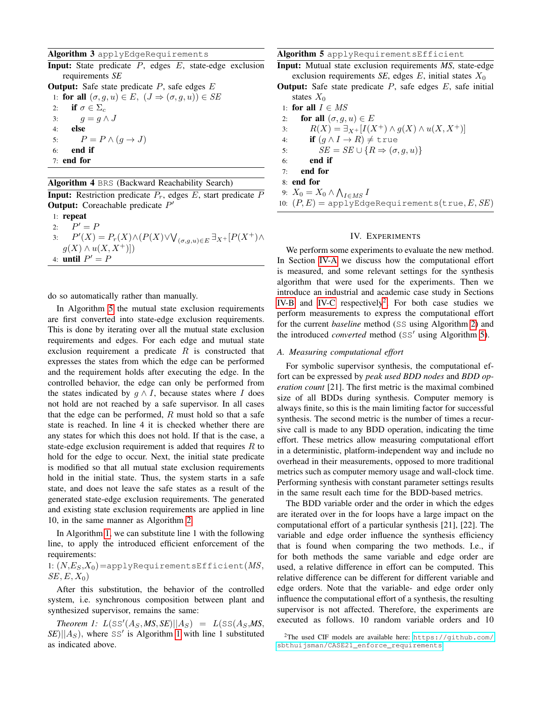#### <span id="page-4-1"></span>Algorithm 3 applyEdgeRequirements

**Input:** State predicate  $P$ , edges  $E$ , state-edge exclusion requirements *SE*

**Output:** Safe state predicate  $P$ , safe edges  $E$ 1: for all  $(\sigma, g, u) \in E$ ,  $(J \Rightarrow (\sigma, g, u)) \in SE$ 2: if  $\sigma \in \Sigma_c$ 3:  $g = g \wedge J$ 4: else

5:  $P = P \wedge (q \rightarrow J)$ 6: end if 7: end for

#### <span id="page-4-2"></span>Algorithm 4 BRS (Backward Reachability Search)

**Input:** Restriction predicate  $P_r$ , edges  $E$ , start predicate  $\overline{P}$ **Output:** Coreachable predicate  $P'$ 

1: repeat 2:  $P' = P$ 3:  $P'(X) = P_r(X) \wedge (P(X) \vee \bigvee_{(\sigma,g,u) \in E} \exists_{X^+} [P(X^+) \wedge$  $g(X) \wedge u(X, X^+))$ 4: **until**  $P' = P$ 

do so automatically rather than manually.

In Algorithm [5](#page-4-3) the mutual state exclusion requirements are first converted into state-edge exclusion requirements. This is done by iterating over all the mutual state exclusion requirements and edges. For each edge and mutual state exclusion requirement a predicate  $R$  is constructed that expresses the states from which the edge can be performed and the requirement holds after executing the edge. In the controlled behavior, the edge can only be performed from the states indicated by  $g \wedge I$ , because states where I does not hold are not reached by a safe supervisor. In all cases that the edge can be performed,  $R$  must hold so that a safe state is reached. In line 4 it is checked whether there are any states for which this does not hold. If that is the case, a state-edge exclusion requirement is added that requires  $R$  to hold for the edge to occur. Next, the initial state predicate is modified so that all mutual state exclusion requirements hold in the initial state. Thus, the system starts in a safe state, and does not leave the safe states as a result of the generated state-edge exclusion requirements. The generated and existing state exclusion requirements are applied in line 10, in the same manner as Algorithm [2.](#page-3-2)

In Algorithm [1,](#page-3-1) we can substitute line 1 with the following line, to apply the introduced efficient enforcement of the requirements:

1:  $(N, E_S, X_0)$  = applyRequirements Efficient  $(MS,$  $SE, E, X_0$ 

After this substitution, the behavior of the controlled system, i.e. synchronous composition between plant and synthesized supervisor, remains the same:

*Theorem 1:*  $L(SS'(A_S, MS, SE)||A_S) = L(SS(A_S, MS,$  $\left| \mathcal{S}E \right| \left| \mathcal{A}_S \right|$ , where SS' is Algorithm [1](#page-3-1) with line 1 substituted as indicated above.

<span id="page-4-3"></span>Algorithm 5 applyRequirementsEfficient

Input: Mutual state exclusion requirements *MS*, state-edge exclusion requirements *SE*, edges  $E$ , initial states  $X_0$ 

- **Output:** Safe state predicate  $P$ , safe edges  $E$ , safe initial states  $X_0$
- 1: for all  $I \in MS$
- 2: for all  $(\sigma, q, u) \in E$
- 3:  $R(X) = \exists_{X^+} [I(X^+) \wedge g(X) \wedge u(X, X^+)]$
- 4: **if**  $(g \land I \to R) \neq \text{true}$
- 5:  $SE = SE \cup \{R \Rightarrow (\sigma, q, u)\}$
- 6: end if
- 7: end for
- 8: end for
- 9:  $X_0 = X_0 \wedge \bigwedge_{I \in MS} I$
- 10:  $(P, E)$  = applyEdgeRequirements(true, E, SE)

#### IV. EXPERIMENTS

<span id="page-4-0"></span>We perform some experiments to evaluate the new method. In Section [IV-A](#page-4-4) we discuss how the computational effort is measured, and some relevant settings for the synthesis algorithm that were used for the experiments. Then we introduce an industrial and academic case study in Sections [IV-B](#page-5-0) and [IV-C](#page-6-0) respectively<sup>[2](#page-4-5)</sup>. For both case studies we perform measurements to express the computational effort for the current *baseline* method (SS using Algorithm [2\)](#page-3-2) and the introduced *converted* method (SS' using Algorithm [5\)](#page-4-3).

#### <span id="page-4-4"></span>*A. Measuring computational effort*

For symbolic supervisor synthesis, the computational effort can be expressed by *peak used BDD nodes* and *BDD operation count* [21]. The first metric is the maximal combined size of all BDDs during synthesis. Computer memory is always finite, so this is the main limiting factor for successful synthesis. The second metric is the number of times a recursive call is made to any BDD operation, indicating the time effort. These metrics allow measuring computational effort in a deterministic, platform-independent way and include no overhead in their measurements, opposed to more traditional metrics such as computer memory usage and wall-clock time. Performing synthesis with constant parameter settings results in the same result each time for the BDD-based metrics.

The BDD variable order and the order in which the edges are iterated over in the for loops have a large impact on the computational effort of a particular synthesis [21], [22]. The variable and edge order influence the synthesis efficiency that is found when comparing the two methods. I.e., if for both methods the same variable and edge order are used, a relative difference in effort can be computed. This relative difference can be different for different variable and edge orders. Note that the variable- and edge order only influence the computational effort of a synthesis, the resulting supervisor is not affected. Therefore, the experiments are executed as follows. 10 random variable orders and 10

<span id="page-4-5"></span><sup>2</sup>The used CIF models are available here: [https://github.com/](https://github.com/sbthuijsman/CASE21_enforce_requirements) [sbthuijsman/CASE21\\_enforce\\_requirements](https://github.com/sbthuijsman/CASE21_enforce_requirements)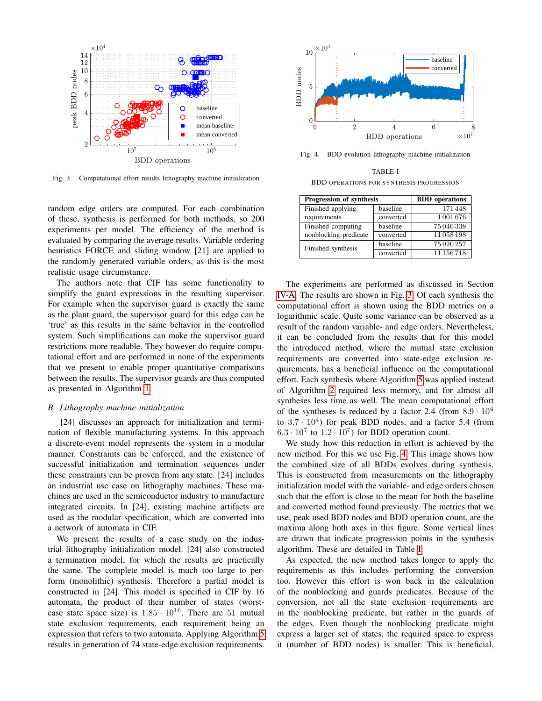

<span id="page-5-1"></span>Fig. 3. Computational effort results lithography machine initialization

random edge orders are computed. For each combination of these, synthesis is performed for both methods, so 200 experiments per model. The efficiency of the method is evaluated by comparing the average results. Variable ordering heuristics FORCE and sliding window [21] are applied to the randomly generated variable orders, as this is the most realistic usage circumstance.

The authors note that CIF has some functionality to simplify the guard expressions in the resulting supervisor. For example when the supervisor guard is exactly the same as the plant guard, the supervisor guard for this edge can be 'true' as this results in the same behavior in the controlled system. Such simplifications can make the supervisor guard restrictions more readable. They however do require computational effort and are performed in none of the experiments that we present to enable proper quantitative comparisons between the results. The supervisor guards are thus computed as presented in Algorithm [1.](#page-3-1)

#### <span id="page-5-0"></span>*B. Lithography machine initialization*

[24] discusses an approach for initialization and termination of flexible manufacturing systems. In this approach a discrete-event model represents the system in a modular manner. Constraints can be enforced, and the existence of successful initialization and termination sequences under these constraints can be proven from any state. [24] includes an industrial use case on lithography machines. These machines are used in the semiconductor industry to manufacture integrated circuits. In [24], existing machine artifacts are used as the modular specification, which are converted into a network of automata in CIF.

We present the results of a case study on the industrial lithography initialization model. [24] also constructed a termination model, for which the results are practically the same. The complete model is much too large to perform (monolithic) synthesis. Therefore a partial model is constructed in [24]. This model is specified in CIF by 16 automata, the product of their number of states (worstcase state space size) is  $1.85 \cdot 10^{16}$ . There are 51 mutual state exclusion requirements, each requirement being an expression that refers to two automata. Applying Algorithm [5](#page-4-3) results in generation of 74 state-edge exclusion requirements.



Fig. 4. BDD evolution lithography machine initialization

<span id="page-5-2"></span>TABLE I BDD OPERATIONS FOR SYNTHESIS PROGRESSION

<span id="page-5-3"></span>

| Progression of synthesis | <b>BDD</b> operations |            |
|--------------------------|-----------------------|------------|
| Finished applying        | baseline              | 171448     |
| requirements             | converted             | 1001676    |
| Finished computing       | baseline              | 75 040 338 |
| nonblocking predicate    | converted             | 11058198   |
| Finished synthesis       | baseline              | 75920257   |
|                          | converted             | 11 156 718 |

The experiments are performed as discussed in Section [IV-A.](#page-4-4) The results are shown in Fig. [3.](#page-5-1) Of each synthesis the computational effort is shown using the BDD metrics on a logarithmic scale. Quite some variance can be observed as a result of the random variable- and edge orders. Nevertheless, it can be concluded from the results that for this model the introduced method, where the mutual state exclusion requirements are converted into state-edge exclusion requirements, has a beneficial influence on the computational effort. Each synthesis where Algorithm [5](#page-4-3) was applied instead of Algorithm [2](#page-3-2) required less memory, and for almost all syntheses less time as well. The mean computational effort of the syntheses is reduced by a factor 2.4 (from  $8.9 \cdot 10^4$ ) to  $3.7 \cdot 10^4$ ) for peak BDD nodes, and a factor 5.4 (from  $6.3 \cdot 10^7$  to  $1.2 \cdot 10^7$ ) for BDD operation count.

We study how this reduction in effort is achieved by the new method. For this we use Fig. [4.](#page-5-2) This image shows how the combined size of all BDDs evolves during synthesis. This is constructed from measurements on the lithography initialization model with the variable- and edge orders chosen such that the effort is close to the mean for both the baseline and converted method found previously. The metrics that we use, peak used BDD nodes and BDD operation count, are the maxima along both axes in this figure. Some vertical lines are drawn that indicate progression points in the synthesis algorithm. These are detailed in Table [I.](#page-5-3)

As expected, the new method takes longer to apply the requirements as this includes performing the conversion too. However this effort is won back in the calculation of the nonblocking and guards predicates. Because of the conversion, not all the state exclusion requirements are in the nonblocking predicate, but rather in the guards of the edges. Even though the nonblocking predicate might express a larger set of states, the required space to express it (number of BDD nodes) is smaller. This is beneficial,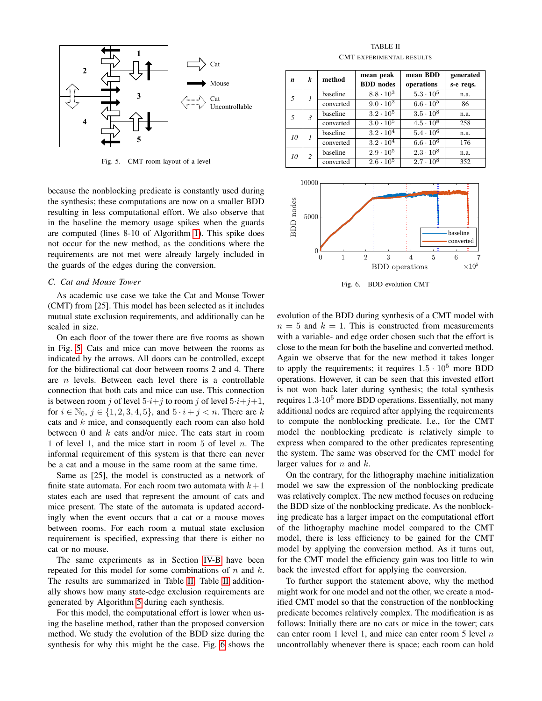

<span id="page-6-1"></span>Fig. 5. CMT room layout of a level

because the nonblocking predicate is constantly used during the synthesis; these computations are now on a smaller BDD resulting in less computational effort. We also observe that in the baseline the memory usage spikes when the guards are computed (lines 8-10 of Algorithm [1\)](#page-3-1). This spike does not occur for the new method, as the conditions where the requirements are not met were already largely included in the guards of the edges during the conversion.

#### <span id="page-6-0"></span>*C. Cat and Mouse Tower*

As academic use case we take the Cat and Mouse Tower (CMT) from [25]. This model has been selected as it includes mutual state exclusion requirements, and additionally can be scaled in size.

On each floor of the tower there are five rooms as shown in Fig. [5.](#page-6-1) Cats and mice can move between the rooms as indicated by the arrows. All doors can be controlled, except for the bidirectional cat door between rooms 2 and 4. There are  $n$  levels. Between each level there is a controllable connection that both cats and mice can use. This connection is between room j of level  $5 \cdot i + j$  to room j of level  $5 \cdot i + j + 1$ , for  $i \in \mathbb{N}_0$ ,  $j \in \{1, 2, 3, 4, 5\}$ , and  $5 \cdot i + j \le n$ . There are k cats and k mice, and consequently each room can also hold between 0 and  $k$  cats and/or mice. The cats start in room 1 of level 1, and the mice start in room 5 of level  $n$ . The informal requirement of this system is that there can never be a cat and a mouse in the same room at the same time.

Same as [25], the model is constructed as a network of finite state automata. For each room two automata with  $k+1$ states each are used that represent the amount of cats and mice present. The state of the automata is updated accordingly when the event occurs that a cat or a mouse moves between rooms. For each room a mutual state exclusion requirement is specified, expressing that there is either no cat or no mouse.

The same experiments as in Section [IV-B](#page-5-0) have been repeated for this model for some combinations of  $n$  and  $k$ . The results are summarized in Table [II.](#page-6-2) Table [II](#page-6-2) additionally shows how many state-edge exclusion requirements are generated by Algorithm [5](#page-4-3) during each synthesis.

For this model, the computational effort is lower when using the baseline method, rather than the proposed conversion method. We study the evolution of the BDD size during the synthesis for why this might be the case. Fig. [6](#page-6-3) shows the

TABLE II CMT EXPERIMENTAL RESULTS

<span id="page-6-2"></span>

| n  | k              | method    | mean peak                   | mean BDD           | generated |
|----|----------------|-----------|-----------------------------|--------------------|-----------|
|    |                |           | <b>BDD</b> nodes            | operations         | s-e reqs. |
| 5  |                | baseline  | $8.8 \cdot 10^3$            | $5.3 \cdot 10^5$   | n.a.      |
|    |                | converted | $9.0 \cdot 10^3$            | $6.6 \cdot 10^5$   | 86        |
| 5  | $\mathfrak{Z}$ | baseline  | $3.2 \cdot 10^5$            | $3.5 \cdot 10^8$   | n.a.      |
|    |                | converted | $3.0 \cdot \overline{10^5}$ | $4.5 \cdot 10^8$   | 258       |
| 10 |                | baseline  | $3.2 \cdot 10^{4}$          | $5.4 \cdot 10^6$   | n.a.      |
|    |                | converted | $3.2 \cdot 10^{4}$          | $6.6 \cdot 10^{6}$ | 176       |
| 10 | $\overline{c}$ | baseline  | $2.9 \cdot 10^5$            | $2.3 \cdot 10^8$   | n.a.      |
|    |                | converted | $2.6 \cdot 10^{5}$          | $2.7 \cdot 10^8$   | 352       |



<span id="page-6-3"></span>Fig. 6. BDD evolution CMT

evolution of the BDD during synthesis of a CMT model with  $n = 5$  and  $k = 1$ . This is constructed from measurements with a variable- and edge order chosen such that the effort is close to the mean for both the baseline and converted method. Again we observe that for the new method it takes longer to apply the requirements; it requires  $1.5 \cdot 10^5$  more BDD operations. However, it can be seen that this invested effort is not won back later during synthesis; the total synthesis requires 1.3·10<sup>5</sup> more BDD operations. Essentially, not many additional nodes are required after applying the requirements to compute the nonblocking predicate. I.e., for the CMT model the nonblocking predicate is relatively simple to express when compared to the other predicates representing the system. The same was observed for the CMT model for larger values for  $n$  and  $k$ .

On the contrary, for the lithography machine initialization model we saw the expression of the nonblocking predicate was relatively complex. The new method focuses on reducing the BDD size of the nonblocking predicate. As the nonblocking predicate has a larger impact on the computational effort of the lithography machine model compared to the CMT model, there is less efficiency to be gained for the CMT model by applying the conversion method. As it turns out, for the CMT model the efficiency gain was too little to win back the invested effort for applying the conversion.

To further support the statement above, why the method might work for one model and not the other, we create a modified CMT model so that the construction of the nonblocking predicate becomes relatively complex. The modification is as follows: Initially there are no cats or mice in the tower; cats can enter room 1 level 1, and mice can enter room 5 level  $n$ uncontrollably whenever there is space; each room can hold